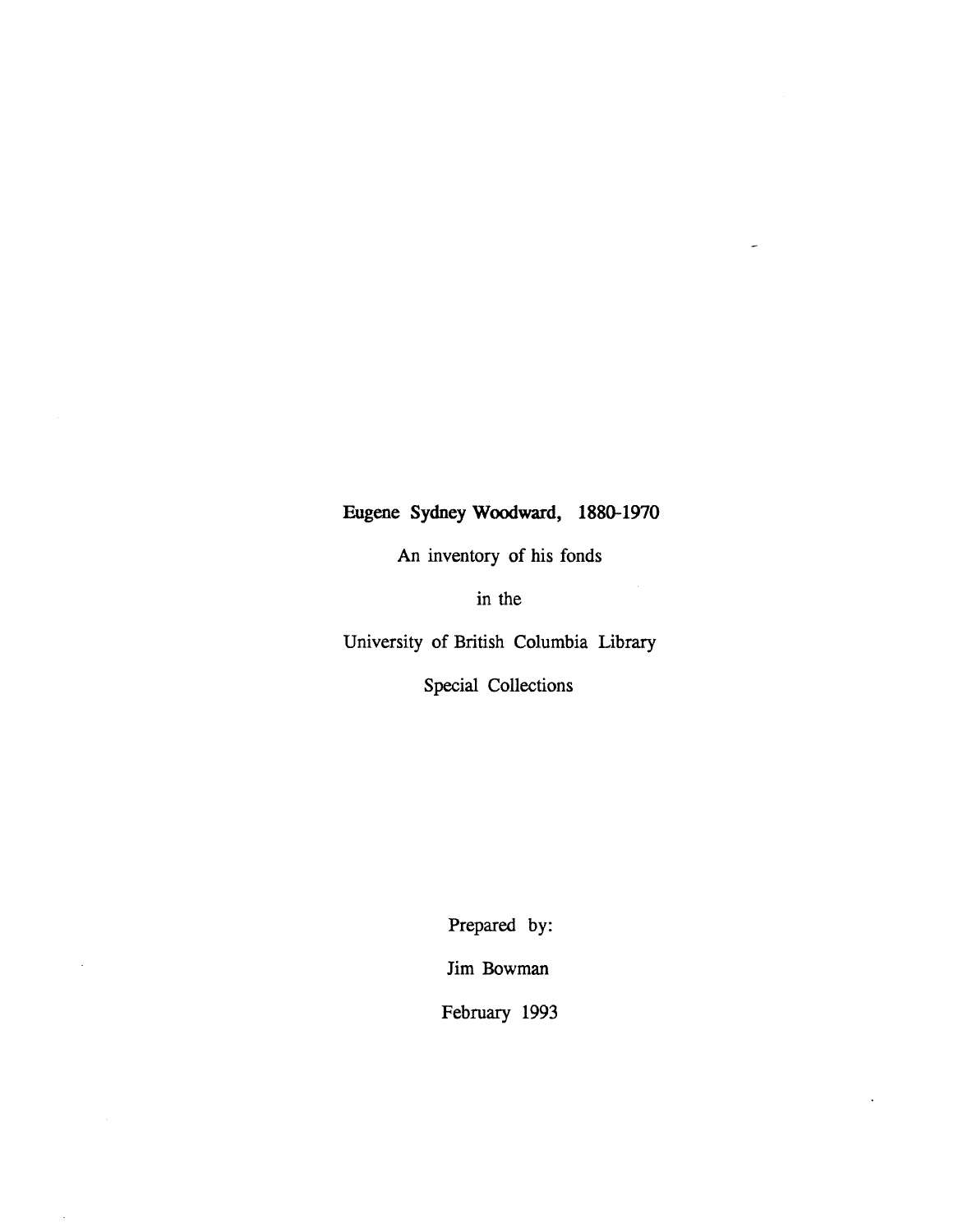# **Eugene Sydney Woodward, 1880-1970**

J.

An inventory of his fonds

in the

University of British Columbia Library

Special Collections

Prepared by: Jim Bowman

February 1993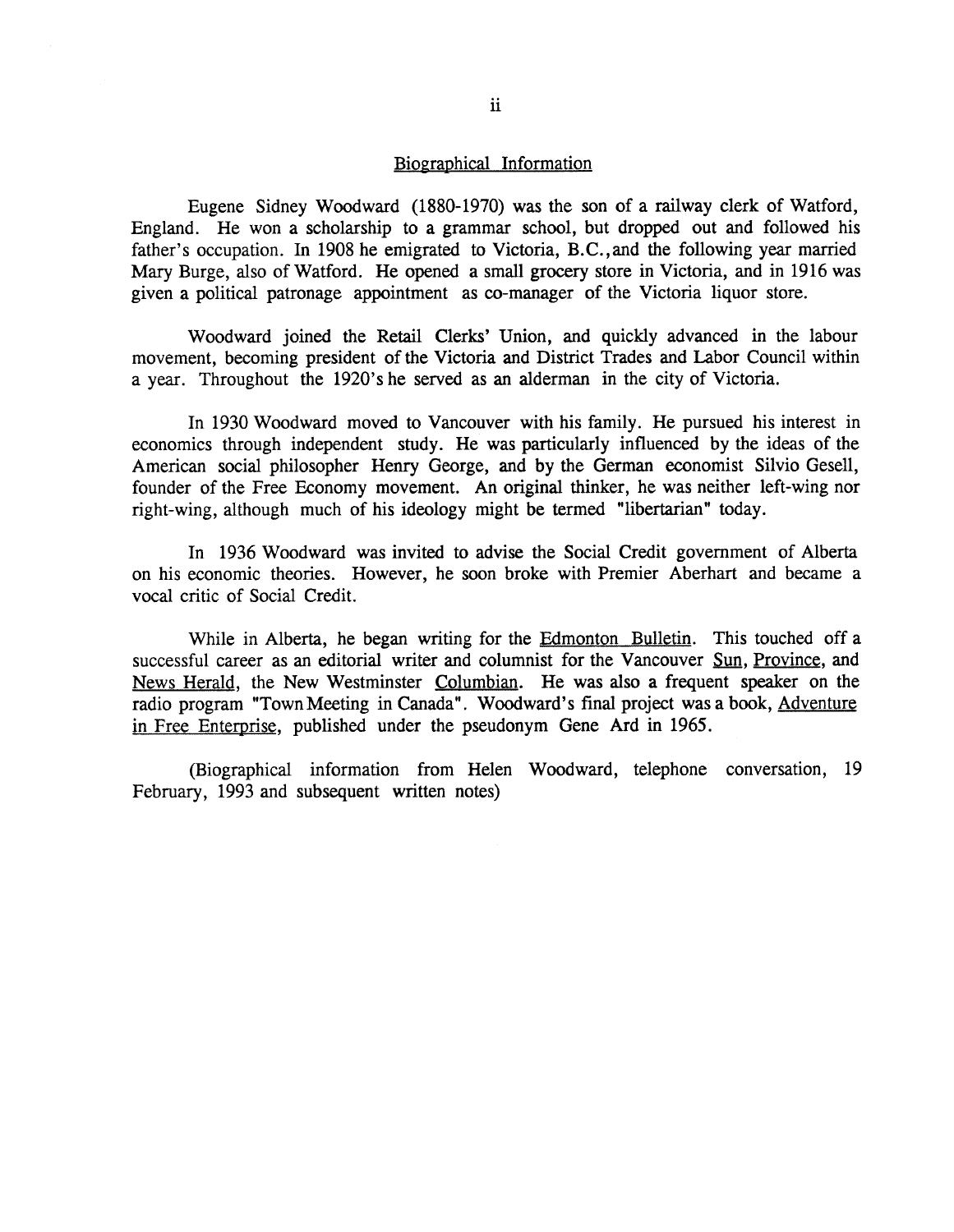## Biographical Information

Eugene Sidney Woodward (1880-1970) was the son of a railway clerk of Watford, England. He won a scholarship to a grammar school, but dropped out and followed his father's occupation. In 1908 he emigrated to Victoria, B.C., and the following year married Mary Burge, also of Watford. He opened a small grocery store in Victoria, and in 1916 was given a political patronage appointment as co-manager of the Victoria liquor store .

Woodward joined the Retail Clerks' Union, and quickly advanced in the labour movement, becoming president of the Victoria and District Trades and Labor Council within a year. Throughout the 1920's he served as an alderman in the city of Victoria.

In 1930 Woodward moved to Vancouver with his family. He pursued his interest in economics through independent study. He was particularly influenced by the ideas of the American social philosopher Henry George, and by the German economist Silvio Gesell, founder of the Free Economy movement. An original thinker, he was neither left-wing nor right-wing, although much of his ideology might be termed "libertarian" today.

In 1936 Woodward was invited to advise the Social Credit government of Alberta on his economic theories. However, he soon broke with Premier Aberhart and became a vocal critic of Social Credit.

While in Alberta, he began writing for the Edmonton Bulletin. This touched off a successful career as an editorial writer and columnist for the Vancouver Sun, Province, and News Herald, the New Westminster Columbian. He was also a frequent speaker on the radio program "Town Meeting in Canada". Woodward's final project was a book, Adventure in Free Enterprise, published under the pseudonym Gene Ard in 1965 .

(Biographical information from Helen Woodward, telephone conversation, 19 February, 1993 and subsequent written notes)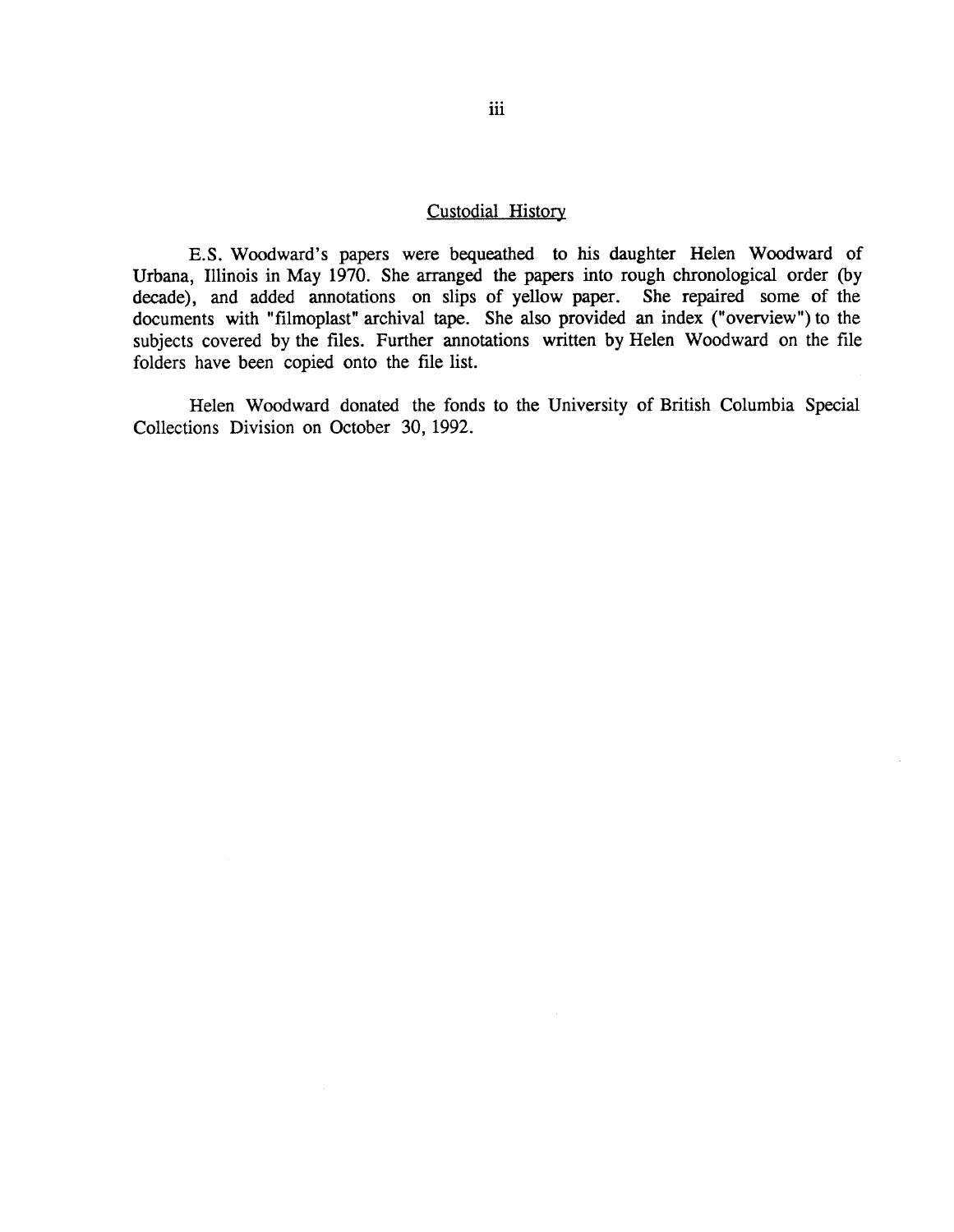### Custodial History

E.S. Woodward's papers were bequeathed to his daughter Helen Woodward of Urbana, Illinois in May 1970. She arranged the papers into rough chronological order (by decade), and added annotations on slips of yellow paper. She repaired some of the documents with "filmoplast" archival tape. She also provided an index ("overview") to the subjects covered by the files. Further annotations written by Helen Woodward on the file folders have been copied onto the file list.

Helen Woodward donated the fonds to the University of British Columbia Special Collections Division on October 30, 1992.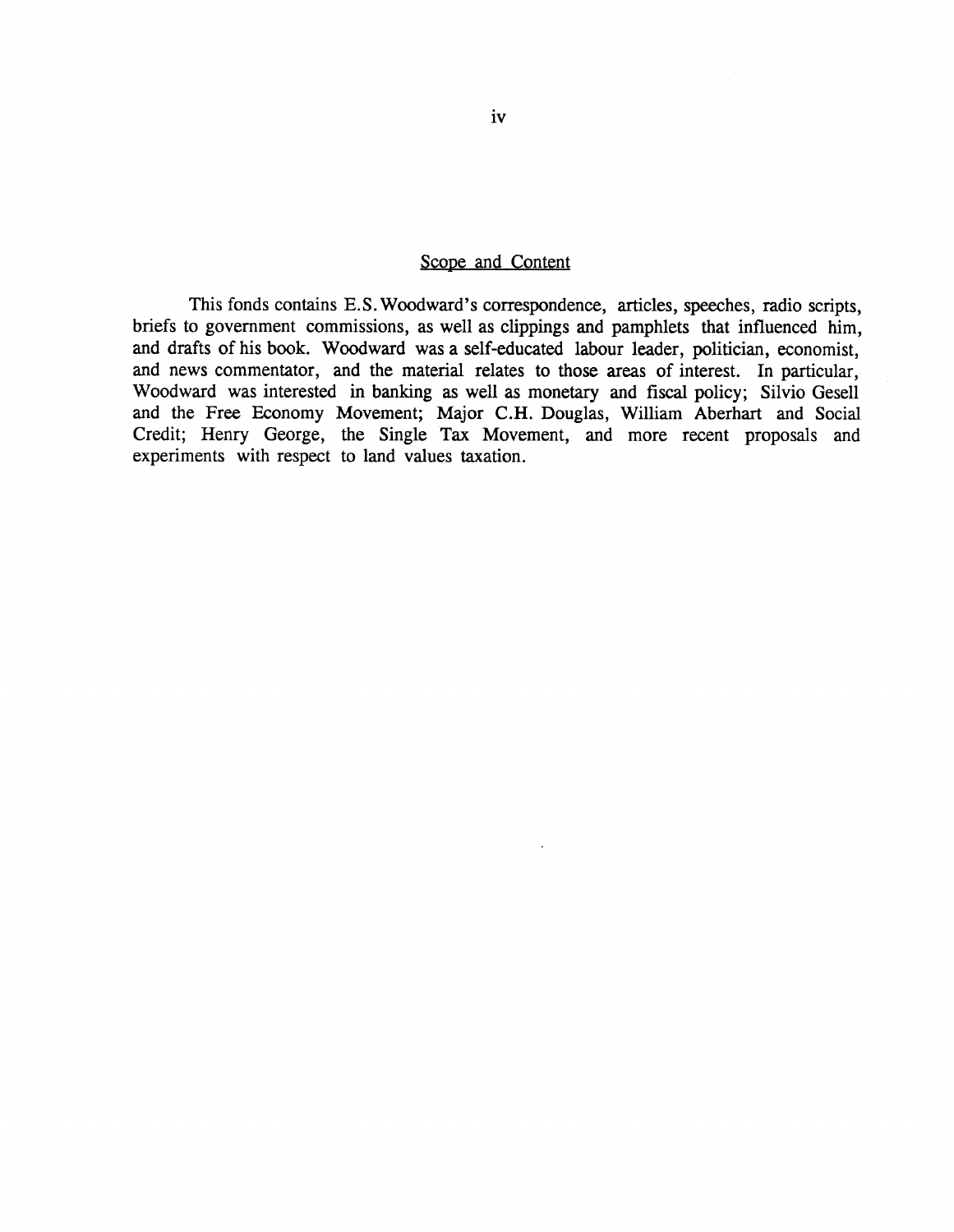#### Scope and Content

This fonds contains E.S. Woodward's correspondence, articles, speeches, radio scripts, briefs to government commissions, as well as clippings and pamphlets that influenced him , and drafts of his book. Woodward was a self-educated labour leader, politician, economist, and news commentator, and the material relates to those areas of interest. In particular, Woodward was interested in banking as well as monetary and fiscal policy; Silvio Gesell and the Free Economy Movement; Major C.H. Douglas, William Aberhart and Social Credit; Henry George, the Single Tax Movement, and more recent proposals and experiments with respect to land values taxation.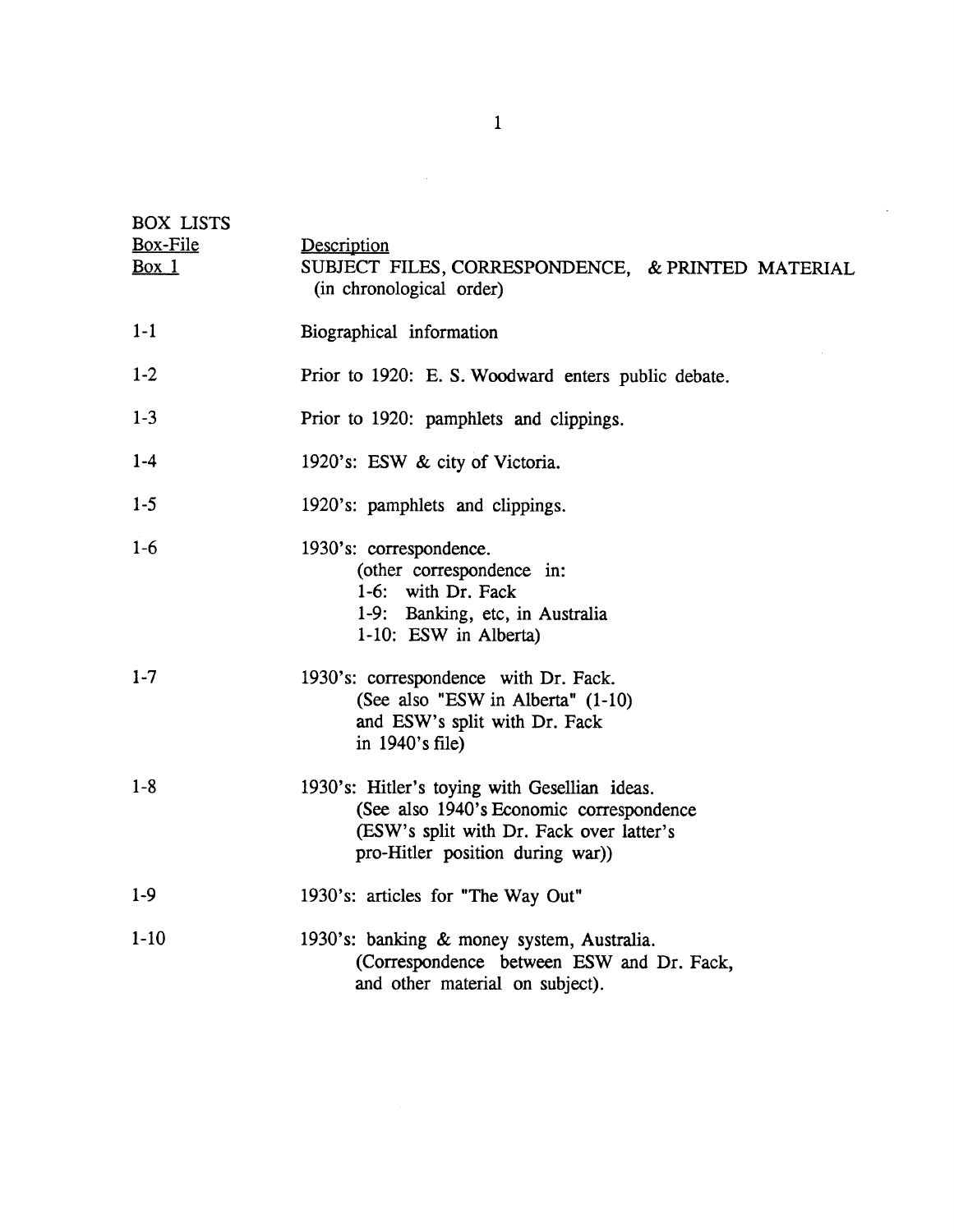| <b>BOX LISTS</b><br>Box-File<br>Box 1 | Description<br>SUBJECT FILES, CORRESPONDENCE, & PRINTED MATERIAL<br>(in chronological order)                                                                             |  |  |  |  |  |
|---------------------------------------|--------------------------------------------------------------------------------------------------------------------------------------------------------------------------|--|--|--|--|--|
| $1-1$                                 | Biographical information                                                                                                                                                 |  |  |  |  |  |
| $1-2$                                 | Prior to 1920: E. S. Woodward enters public debate.                                                                                                                      |  |  |  |  |  |
| $1-3$                                 | Prior to 1920: pamphlets and clippings.                                                                                                                                  |  |  |  |  |  |
| $1 - 4$                               | 1920's: ESW & city of Victoria.                                                                                                                                          |  |  |  |  |  |
| $1 - 5$                               | 1920's: pamphlets and clippings.                                                                                                                                         |  |  |  |  |  |
| $1-6$                                 | 1930's: correspondence.<br>(other correspondence in:<br>1-6: with Dr. Fack<br>1-9: Banking, etc, in Australia<br>1-10: ESW in Alberta)                                   |  |  |  |  |  |
| $1 - 7$                               | 1930's: correspondence with Dr. Fack.<br>(See also "ESW in Alberta" (1-10)<br>and ESW's split with Dr. Fack<br>in $1940$ 's file)                                        |  |  |  |  |  |
| $1 - 8$                               | 1930's: Hitler's toying with Gesellian ideas.<br>(See also 1940's Economic correspondence<br>(ESW's split with Dr. Fack over latter's<br>pro-Hitler position during war) |  |  |  |  |  |
| $1-9$                                 | 1930's: articles for "The Way Out"                                                                                                                                       |  |  |  |  |  |
| $1 - 10$                              | 1930's: banking & money system, Australia.<br>(Correspondence between ESW and Dr. Fack,<br>and other material on subject).                                               |  |  |  |  |  |

 $\label{eq:2.1} \frac{1}{\sqrt{2}}\int_{\mathbb{R}^3}\frac{1}{\sqrt{2}}\left(\frac{1}{\sqrt{2}}\right)^2\frac{1}{\sqrt{2}}\left(\frac{1}{\sqrt{2}}\right)^2\frac{1}{\sqrt{2}}\left(\frac{1}{\sqrt{2}}\right)^2\frac{1}{\sqrt{2}}\left(\frac{1}{\sqrt{2}}\right)^2\frac{1}{\sqrt{2}}\left(\frac{1}{\sqrt{2}}\right)^2\frac{1}{\sqrt{2}}\frac{1}{\sqrt{2}}\frac{1}{\sqrt{2}}\frac{1}{\sqrt{2}}\frac{1}{\sqrt{2}}\frac{1}{\sqrt{2}}$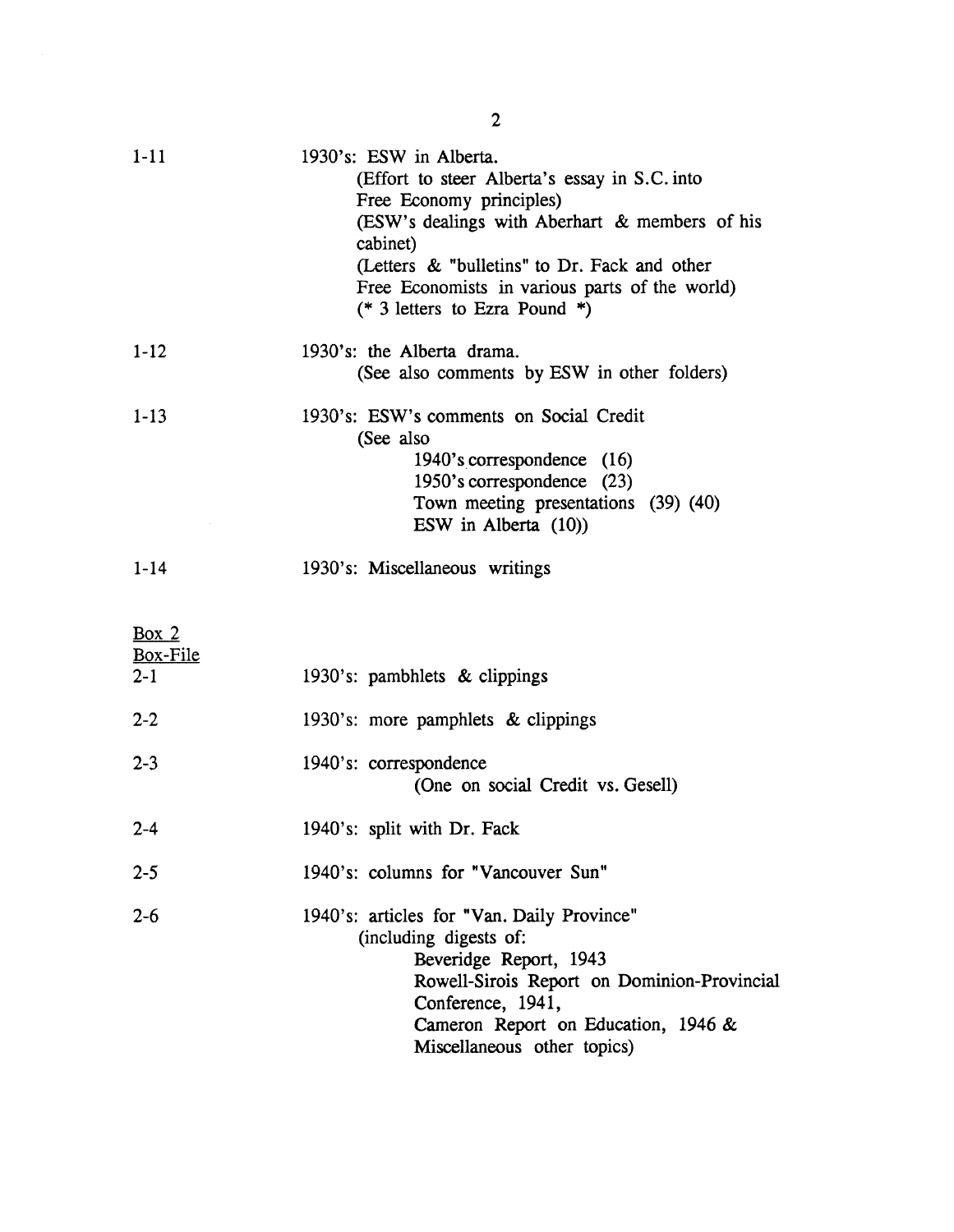| $1 - 11$                       | 1930's: ESW in Alberta.<br>(Effort to steer Alberta's essay in S.C. into<br>Free Economy principles)<br>(ESW's dealings with Aberhart & members of his<br>cabinet)<br>(Letters & "bulletins" to Dr. Fack and other<br>Free Economists in various parts of the world)<br>(* 3 letters to Ezra Pound *) |  |  |  |
|--------------------------------|-------------------------------------------------------------------------------------------------------------------------------------------------------------------------------------------------------------------------------------------------------------------------------------------------------|--|--|--|
| $1 - 12$                       | 1930's: the Alberta drama.<br>(See also comments by ESW in other folders)                                                                                                                                                                                                                             |  |  |  |
| $1-13$                         | 1930's: ESW's comments on Social Credit<br>(See also<br>1940's correspondence (16)<br>1950's correspondence (23)<br>Town meeting presentations (39) (40)<br>ESW in Alberta (10))                                                                                                                      |  |  |  |
| $1 - 14$                       | 1930's: Miscellaneous writings                                                                                                                                                                                                                                                                        |  |  |  |
| Box $2$<br>Box-File<br>$2 - 1$ | 1930's: pambhlets & clippings                                                                                                                                                                                                                                                                         |  |  |  |
| $2 - 2$                        | 1930's: more pamphlets & clippings                                                                                                                                                                                                                                                                    |  |  |  |
| $2 - 3$                        | 1940's: correspondence<br>(One on social Credit vs. Gesell)                                                                                                                                                                                                                                           |  |  |  |
| $2 - 4$                        | 1940's: split with Dr. Fack                                                                                                                                                                                                                                                                           |  |  |  |
| $2 - 5$                        | 1940's: columns for "Vancouver Sun"                                                                                                                                                                                                                                                                   |  |  |  |
| $2 - 6$                        | 1940's: articles for "Van. Daily Province"<br>(including digests of:<br>Beveridge Report, 1943<br>Rowell-Sirois Report on Dominion-Provincial<br>Conference, 1941,<br>Cameron Report on Education, 1946 &<br>Miscellaneous other topics)                                                              |  |  |  |

2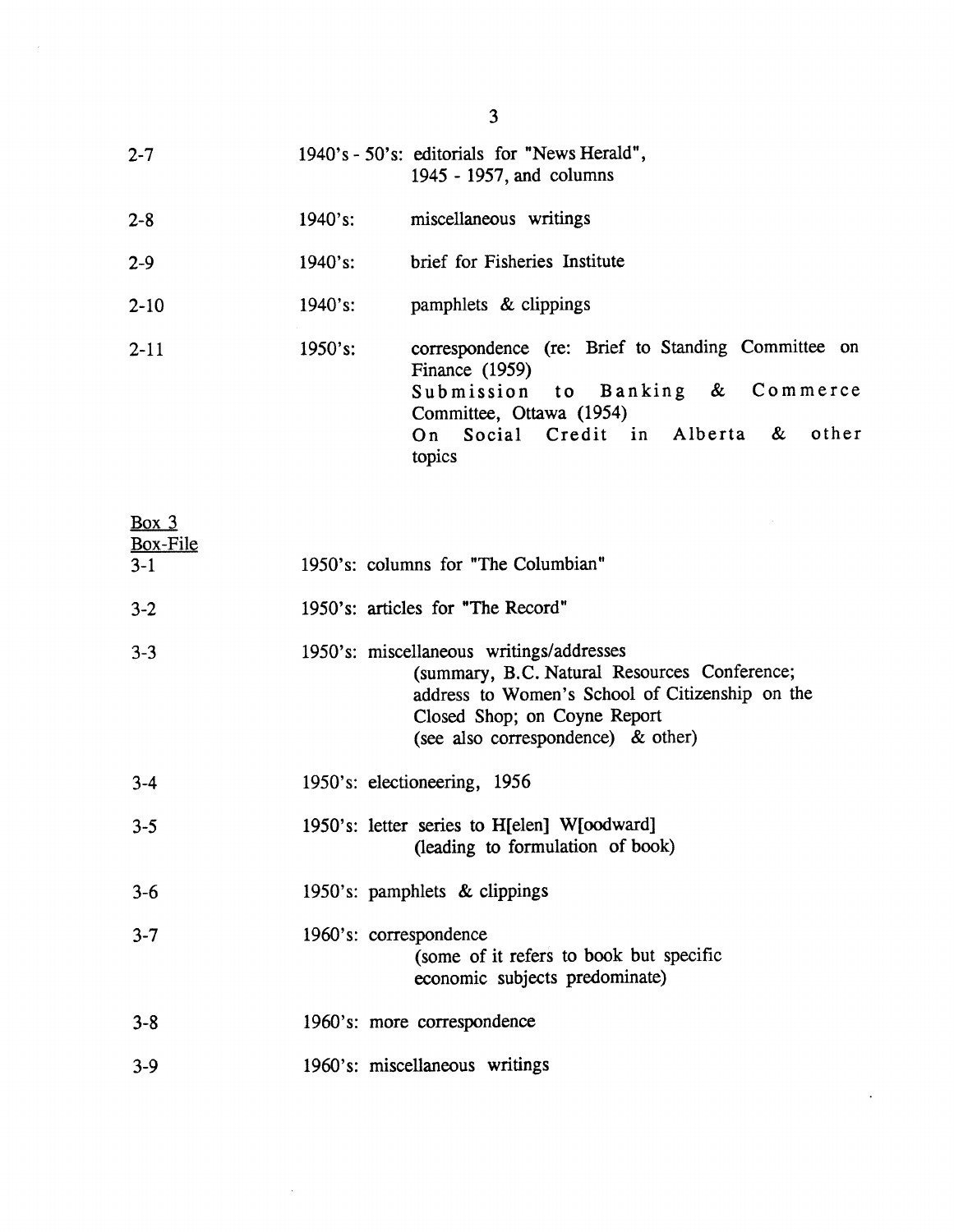| $2 - 7$  |         | 1940's - 50's: editorials for "News Herald",<br>1945 - 1957, and columns                                                                                                                |
|----------|---------|-----------------------------------------------------------------------------------------------------------------------------------------------------------------------------------------|
| $2 - 8$  | 1940's: | miscellaneous writings                                                                                                                                                                  |
| $2 - 9$  | 1940's: | brief for Fisheries Institute                                                                                                                                                           |
| $2 - 10$ | 1940's: | pamphlets & clippings                                                                                                                                                                   |
| $2 - 11$ | 1950's: | correspondence (re: Brief to Standing Committee on<br>Finance $(1959)$<br>Submission to Banking & Commerce<br>Committee, Ottawa (1954)<br>On Social Credit in Alberta & other<br>topics |

| Box $3$<br>Box-File |                                                                                                                                                                                                                   |
|---------------------|-------------------------------------------------------------------------------------------------------------------------------------------------------------------------------------------------------------------|
| $3-1$               | 1950's: columns for "The Columbian"                                                                                                                                                                               |
| $3 - 2$             | 1950's: articles for "The Record"                                                                                                                                                                                 |
| $3 - 3$             | 1950's: miscellaneous writings/addresses<br>(summary, B.C. Natural Resources Conference;<br>address to Women's School of Citizenship on the<br>Closed Shop; on Coyne Report<br>(see also correspondence) & other) |
| $3 - 4$             | 1950's: electioneering, 1956                                                                                                                                                                                      |
| $3 - 5$             | 1950's: letter series to H[elen] W[oodward]<br>(leading to formulation of book)                                                                                                                                   |
| $3 - 6$             | 1950's: pamphlets & clippings                                                                                                                                                                                     |
| $3 - 7$             | 1960's: correspondence<br>(some of it refers to book but specific<br>economic subjects predominate)                                                                                                               |
| $3 - 8$             | 1960's: more correspondence                                                                                                                                                                                       |
| $3-9$               | 1960's: miscellaneous writings                                                                                                                                                                                    |

 $\mathcal{L}^{\text{max}}_{\text{max}}$ 

 $\ddot{\phantom{0}}$ 

3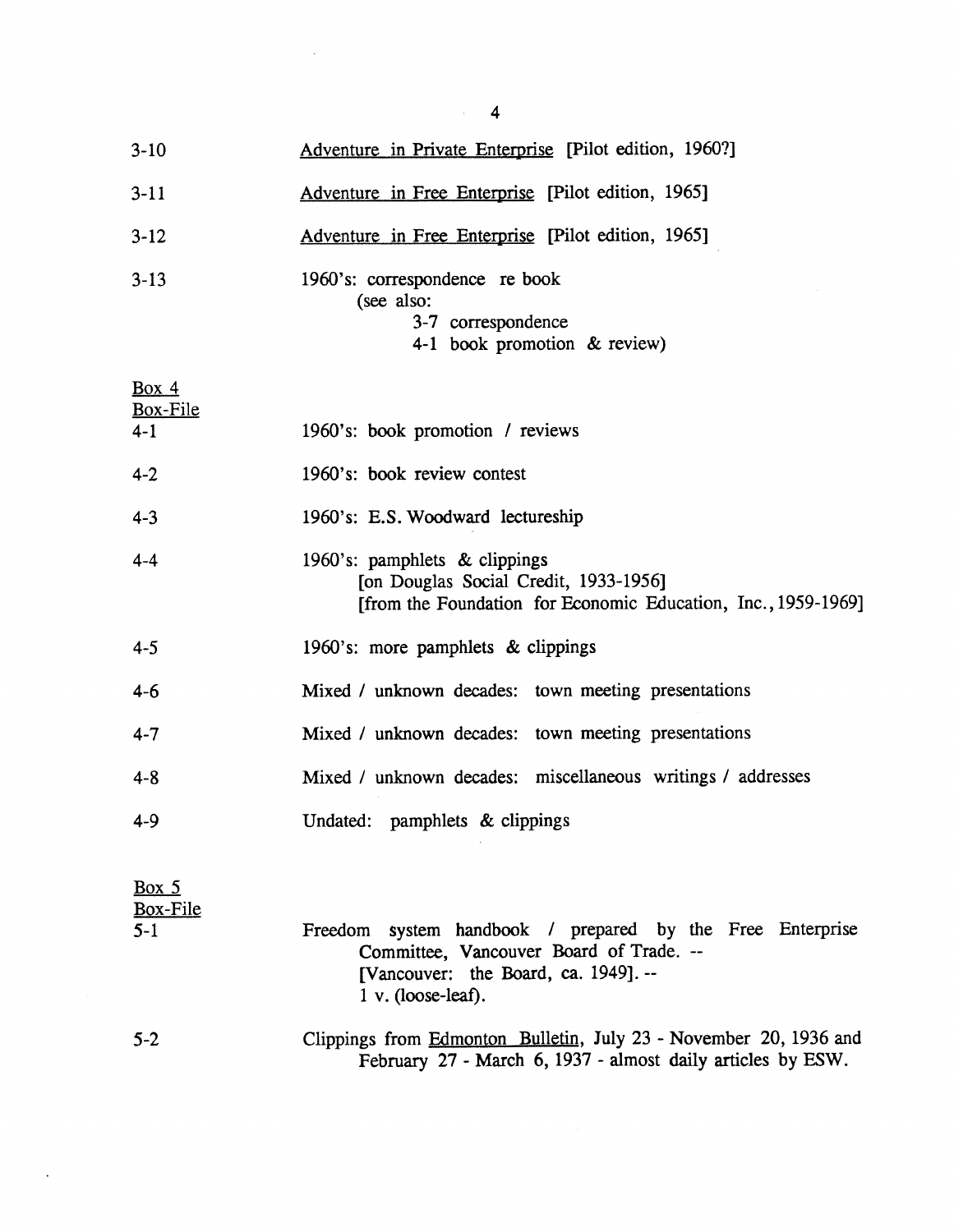| $3-10$                       | Adventure in Private Enterprise [Pilot edition, 1960?]                                                                                  |
|------------------------------|-----------------------------------------------------------------------------------------------------------------------------------------|
| $3-11$                       | Adventure in Free Enterprise [Pilot edition, 1965]                                                                                      |
| $3-12$                       | Adventure in Free Enterprise [Pilot edition, 1965]                                                                                      |
| $3-13$                       | 1960's: correspondence re book<br>(see also:<br>3-7 correspondence<br>4-1 book promotion & review)                                      |
| Box 4<br>Box-File<br>$4 - 1$ | 1960's: book promotion / reviews                                                                                                        |
| $4 - 2$                      | 1960's: book review contest                                                                                                             |
| $4 - 3$                      | 1960's: E.S. Woodward lectureship                                                                                                       |
| $4 - 4$                      | 1960's: pamphlets & clippings<br>[on Douglas Social Credit, 1933-1956]<br>[from the Foundation for Economic Education, Inc., 1959-1969] |
| $4 - 5$                      | 1960's: more pamphlets & clippings                                                                                                      |
| $4 - 6$                      | Mixed / unknown decades: town meeting presentations                                                                                     |

Mixed / unknown decades: town meeting presentations 4-7

- Mixed / unknown decades: miscellaneous writings / addresses 4-8
- 4-9 Undated: pamphlets & clippings

Box  $5$ Box-File 5-1

| $-1$ |                               |                                          |  |  | Freedom system handbook / prepared by the Free Enterprise |
|------|-------------------------------|------------------------------------------|--|--|-----------------------------------------------------------|
|      |                               | Committee, Vancouver Board of Trade. --  |  |  |                                                           |
|      |                               | [Vancouver: the Board, ca. $1949$ ]. $-$ |  |  |                                                           |
|      | $1 \text{ v}$ . (loose-leaf). |                                          |  |  |                                                           |
|      |                               |                                          |  |  |                                                           |

5-2 Clippings from Edmonton Bulletin, July 23 - November 20, 1936 and February 27 - March 6, 1937 - almost daily articles by ESW.

 $\sim$  4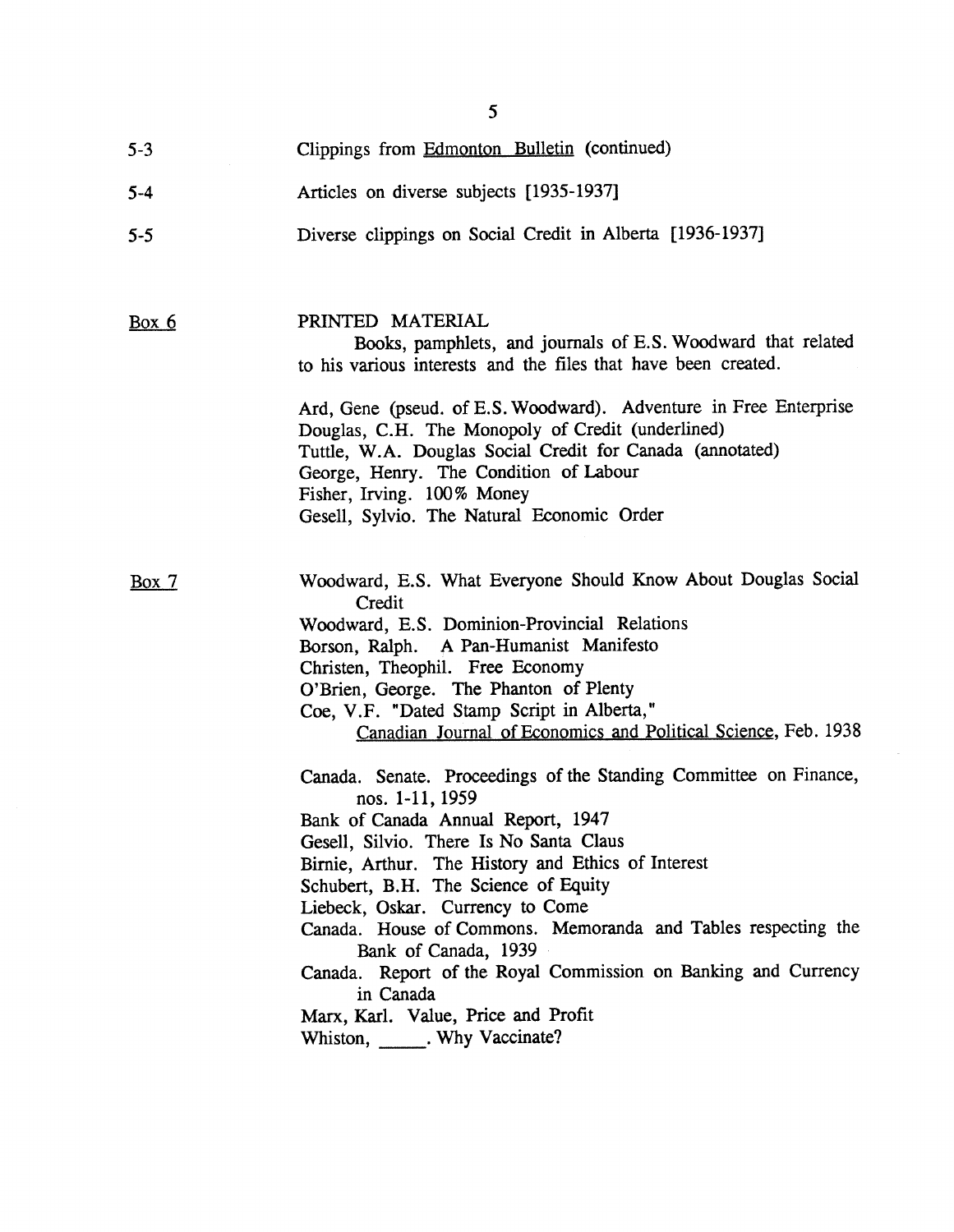|         | 5                                                                                                                                                                                                                                                                                                                                                                                                                                                                                                                                                 |
|---------|---------------------------------------------------------------------------------------------------------------------------------------------------------------------------------------------------------------------------------------------------------------------------------------------------------------------------------------------------------------------------------------------------------------------------------------------------------------------------------------------------------------------------------------------------|
| $5 - 3$ | Clippings from Edmonton Bulletin (continued)                                                                                                                                                                                                                                                                                                                                                                                                                                                                                                      |
| $5 - 4$ | Articles on diverse subjects [1935-1937]                                                                                                                                                                                                                                                                                                                                                                                                                                                                                                          |
| $5 - 5$ | Diverse clippings on Social Credit in Alberta [1936-1937]                                                                                                                                                                                                                                                                                                                                                                                                                                                                                         |
| Box 6   | PRINTED MATERIAL<br>Books, pamphlets, and journals of E.S. Woodward that related<br>to his various interests and the files that have been created.                                                                                                                                                                                                                                                                                                                                                                                                |
|         | Ard, Gene (pseud. of E.S. Woodward). Adventure in Free Enterprise<br>Douglas, C.H. The Monopoly of Credit (underlined)<br>Tuttle, W.A. Douglas Social Credit for Canada (annotated)<br>George, Henry. The Condition of Labour<br>Fisher, Irving. 100% Money                                                                                                                                                                                                                                                                                       |
|         | Gesell, Sylvio. The Natural Economic Order                                                                                                                                                                                                                                                                                                                                                                                                                                                                                                        |
| Box 7   | Woodward, E.S. What Everyone Should Know About Douglas Social<br>Credit<br>Woodward, E.S. Dominion-Provincial Relations<br>Borson, Ralph. A Pan-Humanist Manifesto<br>Christen, Theophil. Free Economy<br>O'Brien, George. The Phanton of Plenty<br>Coe, V.F. "Dated Stamp Script in Alberta,"<br>Canadian Journal of Economics and Political Science, Feb. 1938                                                                                                                                                                                  |
|         | Canada. Senate. Proceedings of the Standing Committee on Finance,<br>nos. 1-11, 1959<br>Bank of Canada Annual Report, 1947<br>Gesell, Silvio. There Is No Santa Claus<br>Birnie, Arthur. The History and Ethics of Interest<br>Schubert, B.H. The Science of Equity<br>Liebeck, Oskar. Currency to Come<br>Canada. House of Commons. Memoranda and Tables respecting the<br>Bank of Canada, 1939<br>Canada. Report of the Royal Commission on Banking and Currency<br>in Canada<br>Marx, Karl. Value, Price and Profit<br>Whiston, Why Vaccinate? |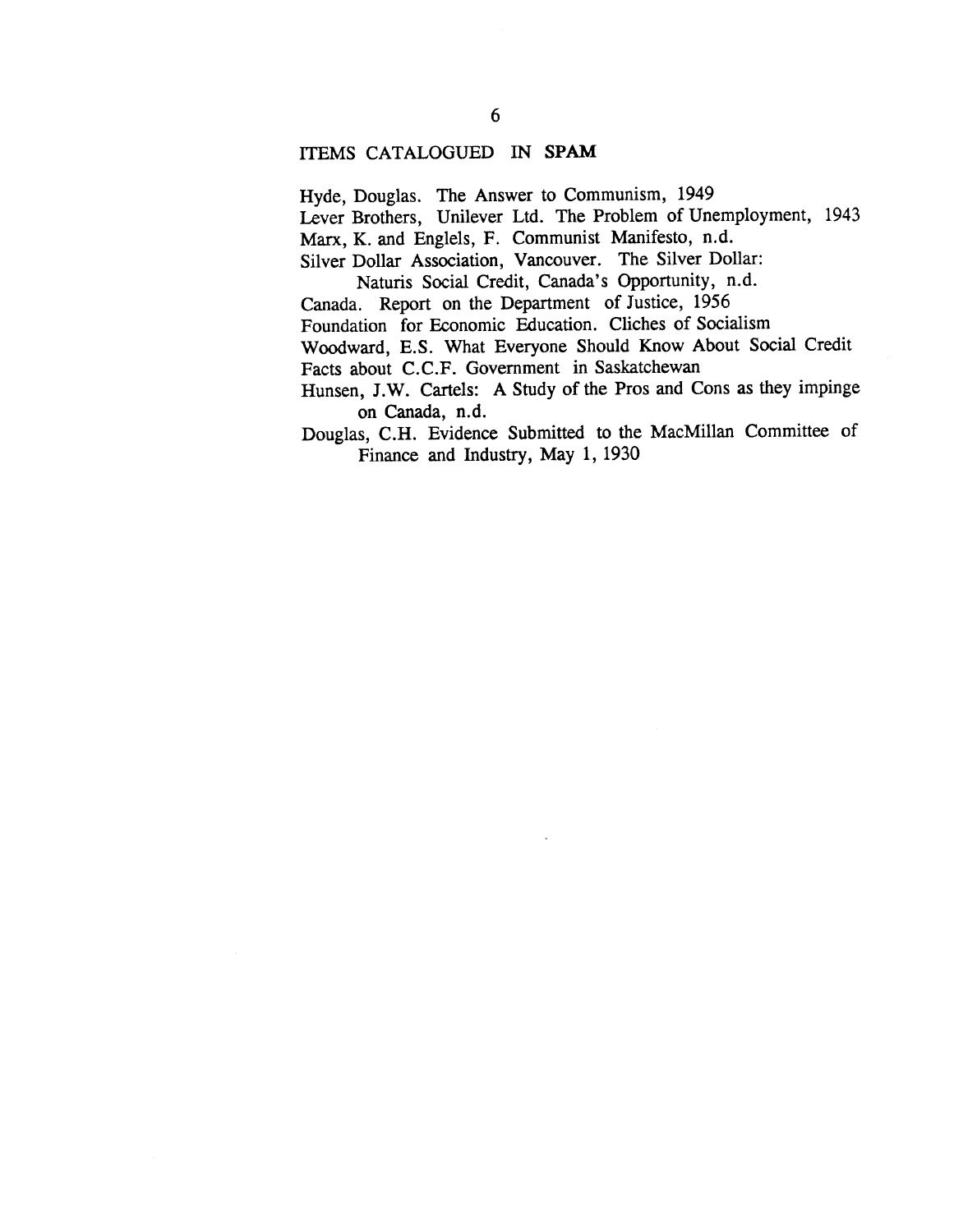## ITEMS CATALOGUED IN SPAM

Hyde, Douglas. The Answer to Communism, 1949

Lever Brothers, Unilever Ltd. The Problem of Unemployment, 1943

Marx, K. and Englels, F. Communist Manifesto, n.d.

Silver Dollar Association, Vancouver. The Silver Dollar:

Naturis Social Credit, Canada's Opportunity, n.d.

Canada. Report on the Department of Justice, 1956

Foundation for Economic Education. Cliches of Socialism

Woodward, E.S. What Everyone Should Know About Social Credit Facts about C.C.F. Government in Saskatchewan

Hunsen, J.W. Cartels: A Study of the Pros and Cons as they impinge on Canada, n.d.

Douglas, C.H. Evidence Submitted to the MacMillan Committee of Finance and Industry, May 1, 1930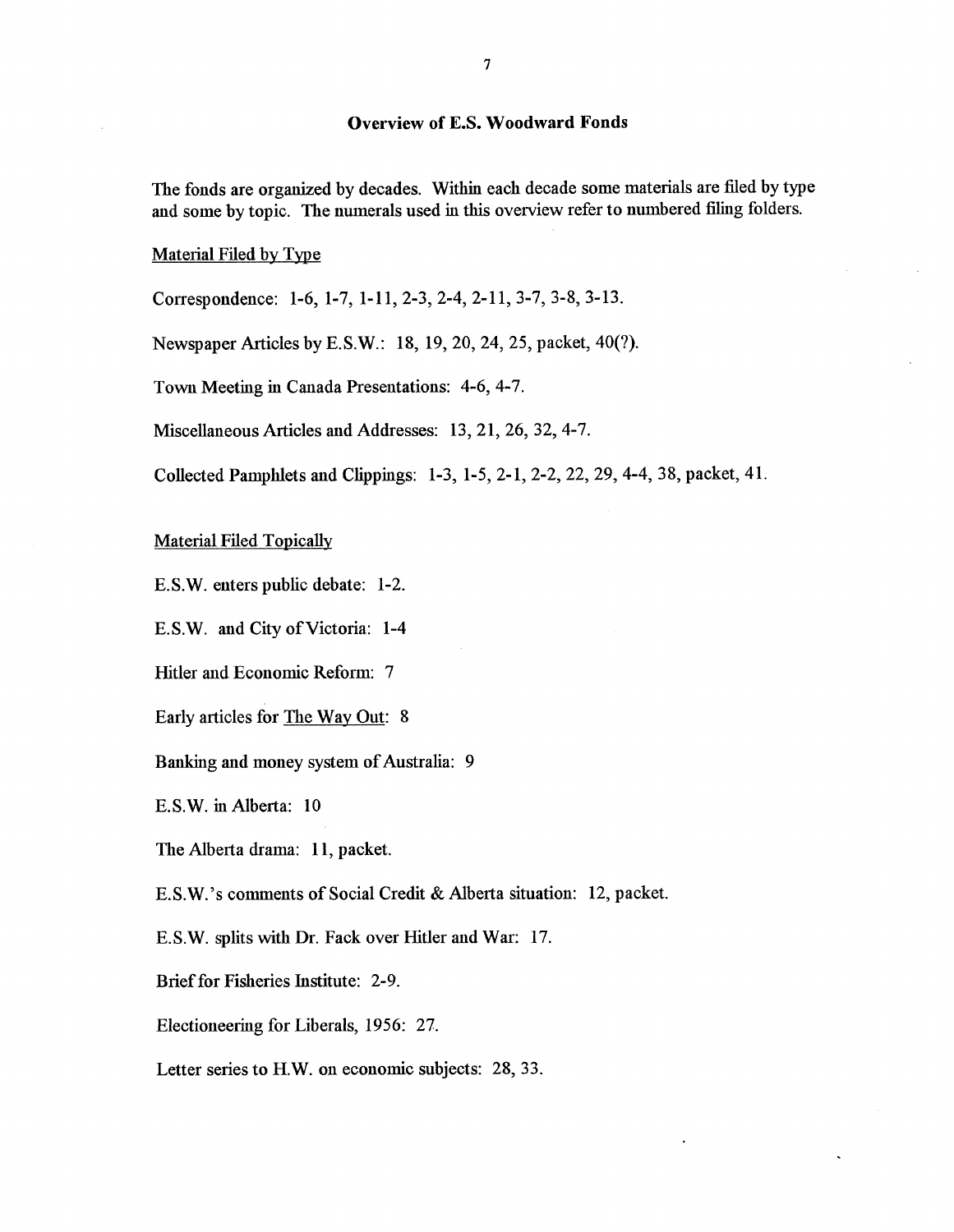## **Overview of E.S. Woodward Fonds**

The fonds are organized by decades. Within each decade some materials are filed by type and some by topic. The numerals used in this overview refer to numbered filing folders.

Material Filed by Type

Correspondence: 1-6, 1-7, 1-11, 2-3, 2-4, 2-11, 3-7, 3-8, 3-13.

Newspaper Articles by E.S.W. : 18, 19, 20, 24, 25, packet, 40(?).

Town Meeting in Canada Presentations: 4-6, 4-7.

Miscellaneous Articles and Addresses: 13, 21, 26, 32, 4-7 .

Collected Pamphlets and Clippings: 1-3, 1-5, 2-1, 2-2, 22, 29, 4-4, 38, packet, 41 .

Material Filed Topically

E.S.W. enters public debate: 1-2.

E.S.W. and City of Victoria: 1-4

Hitler and Economic Reform: 7

Early articles for The Way Out: 8

Banking and money system of Australia: 9

E.S.W. in Alberta: 10

The Alberta drama: 11, packet.

E.S.W.'s comments of Social Credit & Alberta situation: 12, packet.

E.S.W. splits with Dr. Fack over Hitler and War: 17 .

Brief for Fisheries Institute: 2-9.

Electioneering for Liberals, 1956: 27.

Letter series to H.W. on economic subjects: 28, 33.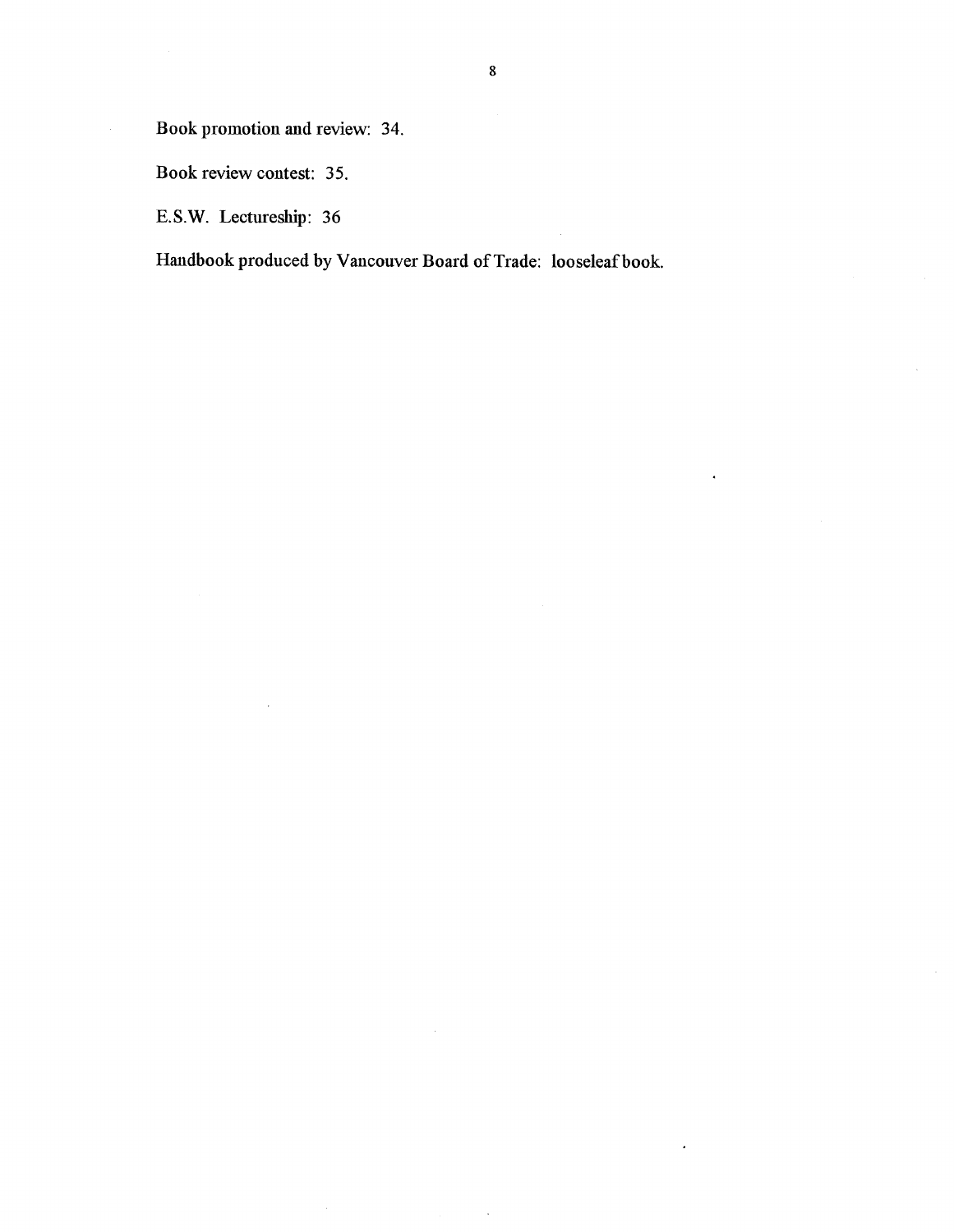Book promotion and review: 34.

 $\hat{\boldsymbol{\beta}}$ 

Book review contest: 35.

E.S.W. Lectureship: 36

Handbook produced by Vancouver Board of Trade: looseleaf book.

 $\ddot{\phantom{0}}$ 

 $\overline{\phantom{a}}$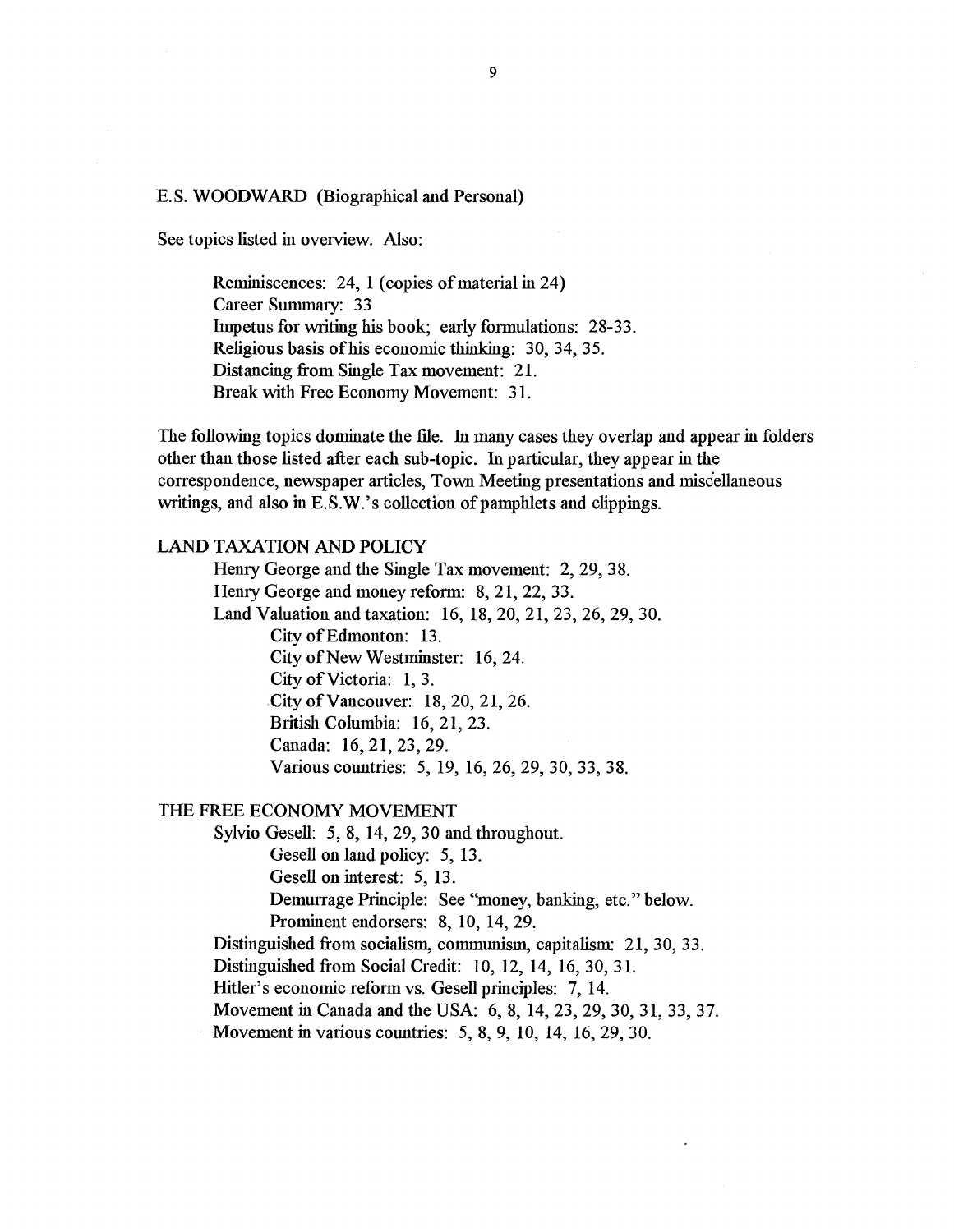#### E.S. WOODWARD (Biographical and Personal)

See topics listed in overview. Also:

Reminiscences: 24, 1 (copies of material in 24) Career Summary: 33 Impetus for writing his book; early formulations: 28-33. Religious basis of his economic thinking: 30, 34, 35. Distancing from Single Tax movement: 21. Break with Free Economy Movement: 31.

The following topics dominate the file. In many cases they overlap and appear in folders other than those listed after each sub-topic . In particular, they appear in the correspondence, newspaper articles, Town Meeting presentations and miscellaneous writings, and also in E.S.W.'s collection of pamphlets and clippings.

## LAND TAXATION AND POLICY

Henry George and the Single Tax movement: 2, 29, 38. Henry George and money reform: 8, 21, 22, 33. Land Valuation and taxation: 16, 18, 20, 21, 23, 26, 29, 30. City of Edmonton: 13. City of New Westminster: 16, 24. City of Victoria: 1, 3. City of Vancouver: 18, 20, 21, 26. British Columbia: 16, 21, 23. Canada: 16, 21, 23, 29. Various countries: 5, 19, 16, 26, 29, 30, 33, 38 .

#### THE FREE ECONOMY MOVEMENT

Sylvio Gesell: 5, 8, 14, 29, 30 and throughout. Gesell on land policy: 5, 13. Gesell on interest: 5, 13 . Demurrage Principle: See "money, banking, etc." below. Prominent endorsers: 8, 10, 14, 29. Distinguished from socialism, communism, capitalism: 21, 30, 33. Distinguished from Social Credit: 10, 12, 14, 16, 30, 31. Hitler's economic reform vs. Gesell principles: 7, 14. Movement in Canada and the USA: 6, 8, 14, 23, 29, 30, 31, 33, 37.

Movement in various countries: 5, 8, 9, 10, 14, 16, 29, 30.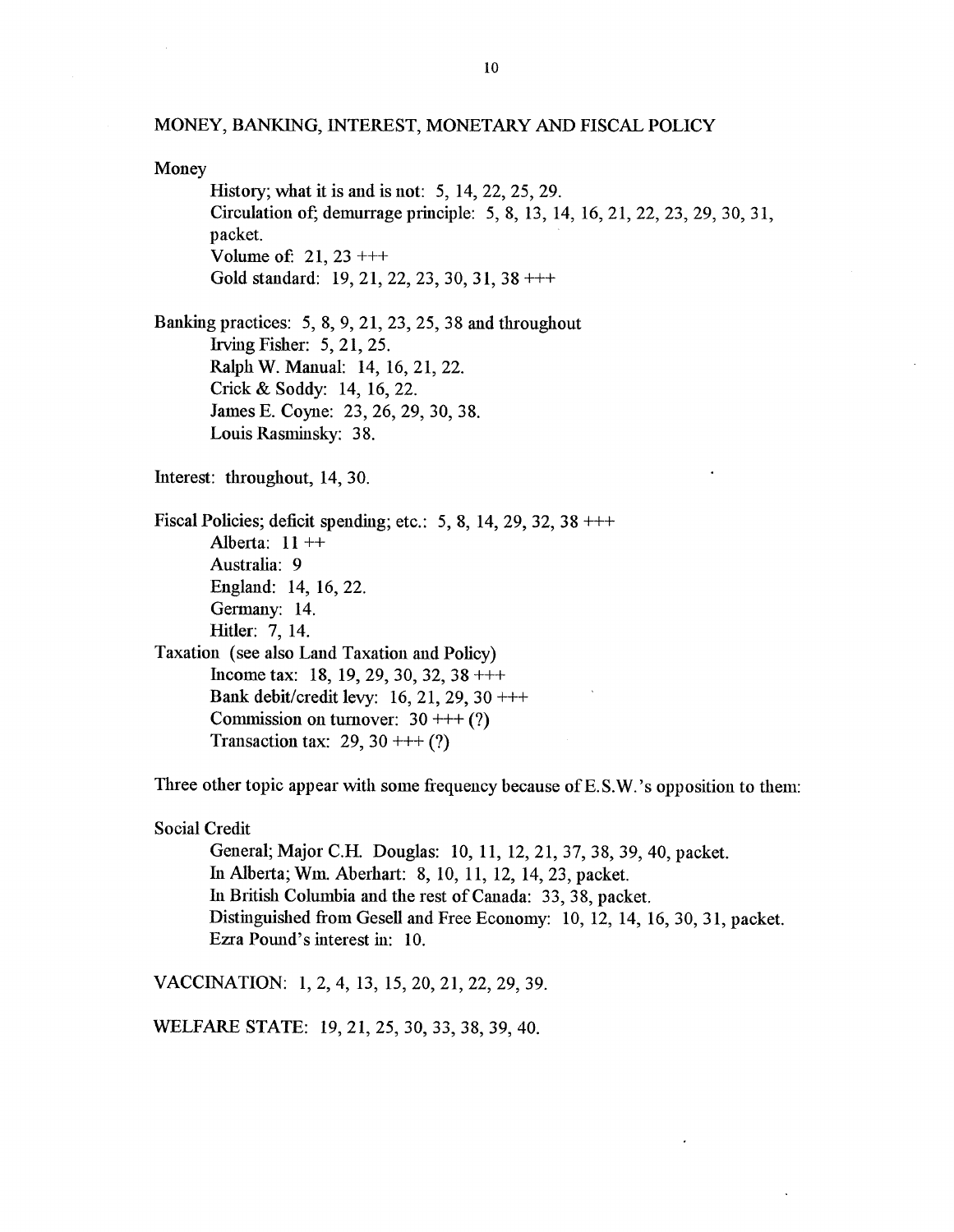#### MONEY, BANKING, INTEREST, MONETARY AND FISCAL POLICY

Money History; what it is and is not: 5, 14, 22, 25, 29 . Circulation of; demurrage principle: 5, 8, 13, 14, 16, 21, 22, 23, 29, 30, 31, packet. Volume of:  $21, 23 + ++$ Gold standard: 19, 21, 22, 23, 30, 31, 38 +++ Banking practices: 5, 8, 9, 21, 23, 25, 38 and throughout Irving Fisher: 5, 21, 25 . Ralph W. Manual: 14, 16, 21, 22. Crick & Soddy: 14, 16, 22. James E. Coyne: 23, 26, 29, 30, 38 . Louis Rasminsky: 38. Interest: throughout, 14, 30. Fiscal Policies; deficit spending; etc.: 5, 8, 14, 29, 32, 38  $+++$ Alberta:  $11 +$ Australia: 9 England: 14, 16, 22. Germany: 14. Hitler: 7, 14. Taxation (see also Land Taxation and Policy ) Income tax: 18, 19, 29, 30, 32, 38  $++$ Bank debit/credit levy: 16, 21, 29, 30  $++$ Commission on turnover:  $30 ++$  (?) Transaction tax: 29, 30 + +  $(?)$ 

Three other topic appear with some frequency because of E.S.W.'s opposition to them:

Social Credit

General; Major C.H. Douglas: 10, 11, 12, 21, 37, 38, 39, 40, packet. In Alberta; Wm. Aberhart: 8, 10, 11, 12, 14, 23, packet. In British Columbia and the rest of Canada: 33, 38, packet. Distinguished from Gesell and Free Economy: 10, 12, 14, 16, 30, 31, packet. Ezra Pound's interest in: 10.

VACCINATION: 1, 2, 4, 13, 15, 20, 21, 22, 29, 39 .

WELFARE STATE: 19, 21, 25, 30, 33, 38, 39, 40.